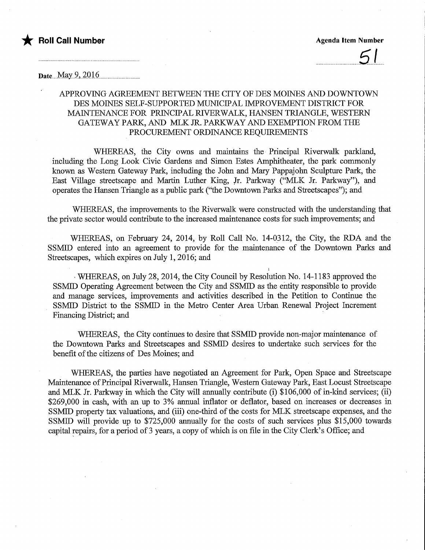

Date...May 9, 2016

## APPROVING AGREEMENT BETWEEN THE CITY OF DES MOINES AND DOWNTOWN DES MOINES SELF-SUPPORTED MUNICIPAL IMPROVEMENT DISTRICT FOR MAINTENANCE FOR PRINCIPAL RIVERWALK, HANSEN TRIANGLE, WESTERN GATEWAY PARK, AND MLK JR. PARKWAY AND EXEMPTION FROM THE PROCUREMENT ORDINANCE REQUIREMENTS

WHEREAS, the City owns and mamtains the Principal Riverwalk parkland, including the Long Look Civic Gardens and Simon Estes Amphitheater, the park commonly known as Western Gateway Park, including the John and Mary Pappajohn Sculpture Park, the East Village streetscape and Martin Luther King, Jr. Parkway ("MLK Jr. Parkway"), and operates the Hansen Triangle as a public park ("the Downtown Parks and Streetscapes"); and

WHEREAS, the improvements to the Riverwalk were constructed with the understanding that the private sector would contribute to the increased maintenance costs for such improvements; and

WHEREAS, on February 24, 2014, by Roll Call No. 14-0312, the City, the RDA and the SSMID entered into an agreement to provide for the maintenance of the Downtown Parks and Streetscapes, which expires on July 1, 2016; and

WHEREAS, on July 28, 2014, the City Council by Resolution No. 14-1183 approved the SSMID Operating Agreement between the City and SSMED as the entity responsible to provide and manage services, improvements and activities described in the Petition to Continue the SSMID District to the SSMID in the Metro Center Area Urban Renewal Project Increment Financing District; and

WHEREAS, the City continues to desire that SSMID provide non-major maintenance of the Downtown Parks and Streetscapes and SSMID desires to undertake such services for the benefit of the citizens of Des Moines; and

WHEREAS, the parties have negotiated an Agreement for Park, Open Space and Streetscape Maintenance of Principal Riverwalk, Haasen Triangle, Western Gateway Park, East Locust Streetscape and MLK Jr. Parkway in which the City will annually contribute (i) \$106,000 of in-kind services; (ii) \$269,000 in cash, with an up to 3% annual inflator or deflator, based on increases or decreases in SSMID property tax valuations, and (iii) one-third of the costs for MLK streetscape expenses, and the SSMID will provide up to \$725,000 annually for the costs of such services plus \$15,000 towards capital repairs, for a period of 3 years, a copy of which is on file in the City Clerk's Office; and